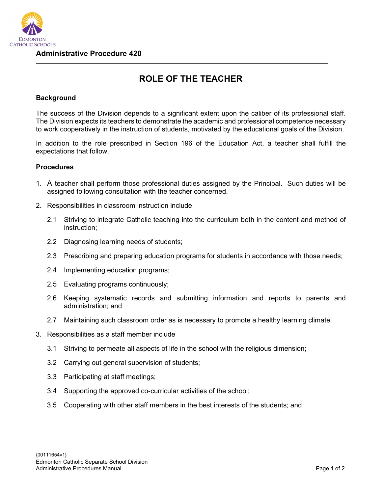

**Administrative Procedure 420**

## **ROLE OF THE TEACHER**

## **Background**

The success of the Division depends to a significant extent upon the caliber of its professional staff. The Division expects its teachers to demonstrate the academic and professional competence necessary to work cooperatively in the instruction of students, motivated by the educational goals of the Division.

In addition to the role prescribed in Section 196 of the Education Act, a teacher shall fulfill the expectations that follow.

## **Procedures**

- 1. A teacher shall perform those professional duties assigned by the Principal. Such duties will be assigned following consultation with the teacher concerned.
- 2. Responsibilities in classroom instruction include
	- 2.1 Striving to integrate Catholic teaching into the curriculum both in the content and method of instruction;
	- 2.2 Diagnosing learning needs of students;
	- 2.3 Prescribing and preparing education programs for students in accordance with those needs;
	- 2.4 Implementing education programs;
	- 2.5 Evaluating programs continuously;
	- 2.6 Keeping systematic records and submitting information and reports to parents and administration; and
	- 2.7 Maintaining such classroom order as is necessary to promote a healthy learning climate.
- 3. Responsibilities as a staff member include
	- 3.1 Striving to permeate all aspects of life in the school with the religious dimension;
	- 3.2 Carrying out general supervision of students;
	- 3.3 Participating at staff meetings;
	- 3.4 Supporting the approved co-curricular activities of the school;
	- 3.5 Cooperating with other staff members in the best interests of the students; and

## {00111654v1}